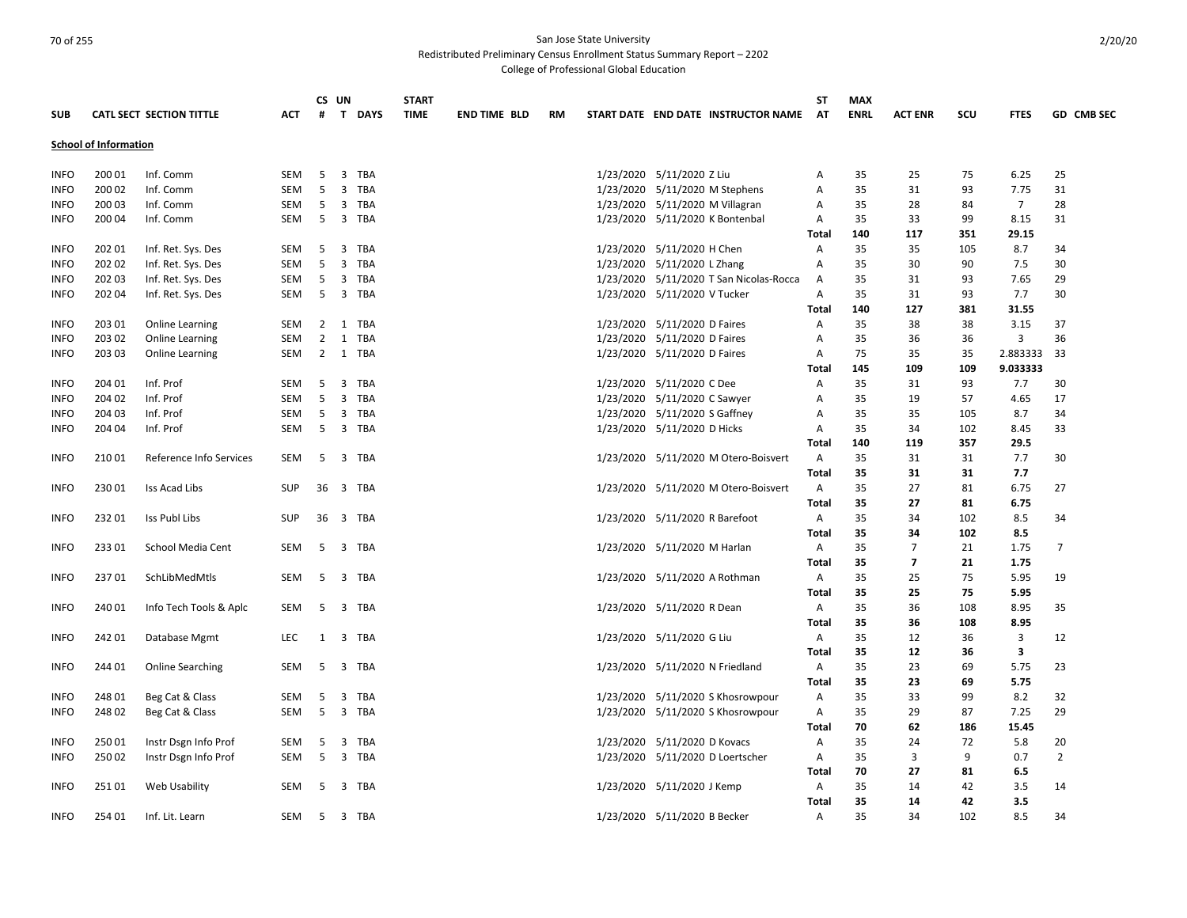Redistributed Preliminary Census Enrollment Status Summary Report – 2202

College of Professional Global Education

| <b>SUB</b>  |                              | <b>CATL SECT SECTION TITTLE</b> | <b>ACT</b> | #              | CS UN<br>T DAYS                | <b>START</b><br><b>TIME</b> |  | <b>END TIME BLD</b> | <b>RM</b> |  |                               | START DATE END DATE INSTRUCTOR NAME     | <b>ST</b><br>AT | <b>MAX</b><br><b>ENRL</b> | <b>ACT ENR</b> | SCU | <b>FTES</b>    | <b>GD CMB SEC</b> |
|-------------|------------------------------|---------------------------------|------------|----------------|--------------------------------|-----------------------------|--|---------------------|-----------|--|-------------------------------|-----------------------------------------|-----------------|---------------------------|----------------|-----|----------------|-------------------|
|             | <b>School of Information</b> |                                 |            |                |                                |                             |  |                     |           |  |                               |                                         |                 |                           |                |     |                |                   |
| <b>INFO</b> | 200 01                       | Inf. Comm                       | SEM        | 5              | 3<br>TBA                       |                             |  |                     |           |  | 1/23/2020 5/11/2020 Z Liu     |                                         | Α               | 35                        | 25             | 75  | 6.25           | 25                |
| <b>INFO</b> | 200 02                       | Inf. Comm                       | <b>SEM</b> | 5              | 3 TBA                          |                             |  |                     |           |  |                               | 1/23/2020 5/11/2020 M Stephens          | A               | 35                        | 31             | 93  | 7.75           | 31                |
| <b>INFO</b> | 200 03                       | Inf. Comm                       | SEM        | 5              | 3 TBA                          |                             |  |                     |           |  |                               | 1/23/2020 5/11/2020 M Villagran         | Α               | 35                        | 28             | 84  | $\overline{7}$ | 28                |
| <b>INFO</b> | 200 04                       | Inf. Comm                       | <b>SEM</b> |                | 5 3 TBA                        |                             |  |                     |           |  |                               | 1/23/2020 5/11/2020 K Bontenbal         | Α               | 35                        | 33             | 99  | 8.15           | 31                |
|             |                              |                                 |            |                |                                |                             |  |                     |           |  |                               |                                         | Total           | 140                       | 117            | 351 | 29.15          |                   |
| <b>INFO</b> | 202 01                       | Inf. Ret. Sys. Des              | <b>SEM</b> | 5              | 3 TBA                          |                             |  |                     |           |  | 1/23/2020 5/11/2020 H Chen    |                                         | A               | 35                        | 35             | 105 | 8.7            | 34                |
| <b>INFO</b> | 202 02                       | Inf. Ret. Sys. Des              | SEM        | 5              | 3 TBA                          |                             |  |                     |           |  | 1/23/2020 5/11/2020 L Zhang   |                                         | Α               | 35                        | 30             | 90  | 7.5            | 30                |
| <b>INFO</b> | 202 03                       | Inf. Ret. Sys. Des              | SEM        | 5              | 3 TBA                          |                             |  |                     |           |  |                               | 1/23/2020 5/11/2020 T San Nicolas-Rocca | A               | 35                        | 31             | 93  | 7.65           | 29                |
| <b>INFO</b> | 202 04                       | Inf. Ret. Sys. Des              | SEM        | 5              | 3 TBA                          |                             |  |                     |           |  | 1/23/2020 5/11/2020 V Tucker  |                                         | A               | 35                        | 31             | 93  | 7.7            | 30                |
|             |                              |                                 |            |                |                                |                             |  |                     |           |  |                               |                                         | <b>Total</b>    | 140                       | 127            | 381 | 31.55          |                   |
| <b>INFO</b> | 203 01                       |                                 | <b>SEM</b> | $2^{\circ}$    | 1 TBA                          |                             |  |                     |           |  | 1/23/2020 5/11/2020 D Faires  |                                         | Α               |                           | 38             | 38  | 3.15           | 37                |
|             |                              | Online Learning                 |            | $2^{\circ}$    | 1 TBA                          |                             |  |                     |           |  |                               |                                         |                 | 35<br>35                  | 36             | 36  | 3              | 36                |
| <b>INFO</b> | 203 02                       | <b>Online Learning</b>          | SEM        |                |                                |                             |  |                     |           |  | 1/23/2020 5/11/2020 D Faires  |                                         | Α               |                           |                |     |                |                   |
| <b>INFO</b> | 203 03                       | Online Learning                 | SEM        | $\overline{2}$ | 1 TBA                          |                             |  |                     |           |  | 1/23/2020 5/11/2020 D Faires  |                                         | Α               | 75                        | 35             | 35  | 2.883333       | -33               |
|             |                              |                                 |            |                |                                |                             |  |                     |           |  |                               |                                         | Total           | 145                       | 109            | 109 | 9.033333       |                   |
| <b>INFO</b> | 204 01                       | Inf. Prof                       | <b>SEM</b> | 5              | $\overline{\mathbf{3}}$<br>TBA |                             |  |                     |           |  | 1/23/2020 5/11/2020 C Dee     |                                         | A               | 35                        | 31             | 93  | 7.7            | 30                |
| <b>INFO</b> | 204 02                       | Inf. Prof                       | <b>SEM</b> | 5              | 3 TBA                          |                             |  |                     |           |  | 1/23/2020 5/11/2020 C Sawyer  |                                         | Α               | 35                        | 19             | 57  | 4.65           | 17                |
| <b>INFO</b> | 204 03                       | Inf. Prof                       | <b>SEM</b> | 5              | 3 TBA                          |                             |  |                     |           |  | 1/23/2020 5/11/2020 S Gaffney |                                         | A               | 35                        | 35             | 105 | 8.7            | 34                |
| <b>INFO</b> | 204 04                       | Inf. Prof                       | <b>SEM</b> | -5             | 3 TBA                          |                             |  |                     |           |  | 1/23/2020 5/11/2020 D Hicks   |                                         | A               | 35                        | 34             | 102 | 8.45           | 33                |
|             |                              |                                 |            |                |                                |                             |  |                     |           |  |                               |                                         | <b>Total</b>    | 140                       | 119            | 357 | 29.5           |                   |
| <b>INFO</b> | 210 01                       | Reference Info Services         | SEM        | 5              | 3 TBA                          |                             |  |                     |           |  |                               | 1/23/2020 5/11/2020 M Otero-Boisvert    | Α               | 35                        | 31             | 31  | 7.7            | 30                |
|             |                              |                                 |            |                |                                |                             |  |                     |           |  |                               |                                         | <b>Total</b>    | 35                        | 31             | 31  | 7.7            |                   |
| <b>INFO</b> | 230 01                       | Iss Acad Libs                   | <b>SUP</b> | 36             | 3 TBA                          |                             |  |                     |           |  |                               | 1/23/2020 5/11/2020 M Otero-Boisvert    | A               | 35                        | 27             | 81  | 6.75           | 27                |
|             |                              |                                 |            |                |                                |                             |  |                     |           |  |                               |                                         | <b>Total</b>    | 35                        | 27             | 81  | 6.75           |                   |
| <b>INFO</b> | 23201                        | Iss Publ Libs                   | <b>SUP</b> | 36             | 3 TBA                          |                             |  |                     |           |  |                               | 1/23/2020 5/11/2020 R Barefoot          | Α               | 35                        | 34             | 102 | 8.5            | 34                |
|             |                              |                                 |            |                |                                |                             |  |                     |           |  |                               |                                         | Total           | 35                        | 34             | 102 | 8.5            |                   |
| <b>INFO</b> | 23301                        | School Media Cent               | SEM        | 5              | 3 TBA                          |                             |  |                     |           |  | 1/23/2020 5/11/2020 M Harlan  |                                         | A               | 35                        | $\overline{7}$ | 21  | 1.75           | $\overline{7}$    |
|             |                              |                                 |            |                |                                |                             |  |                     |           |  |                               |                                         | Total           | 35                        | $\overline{7}$ | 21  | 1.75           |                   |
| <b>INFO</b> | 23701                        | SchLibMedMtls                   | <b>SEM</b> | 5              | 3 TBA                          |                             |  |                     |           |  |                               | 1/23/2020 5/11/2020 A Rothman           | $\overline{A}$  | 35                        | 25             | 75  | 5.95           | 19                |
|             |                              |                                 |            |                |                                |                             |  |                     |           |  |                               |                                         | <b>Total</b>    | 35                        | 25             | 75  | 5.95           |                   |
| <b>INFO</b> | 240 01                       | Info Tech Tools & Aplc          | SEM        | 5              | 3 TBA                          |                             |  |                     |           |  | 1/23/2020 5/11/2020 R Dean    |                                         | A               | 35                        | 36             | 108 | 8.95           | 35                |
|             |                              |                                 |            |                |                                |                             |  |                     |           |  |                               |                                         | <b>Total</b>    | 35                        | 36             | 108 | 8.95           |                   |
| <b>INFO</b> | 242 01                       | Database Mgmt                   | <b>LEC</b> | 1              | 3 TBA                          |                             |  |                     |           |  | 1/23/2020 5/11/2020 G Liu     |                                         | $\mathsf{A}$    | 35                        | 12             | 36  | 3              | 12                |
|             |                              |                                 |            |                |                                |                             |  |                     |           |  |                               |                                         | Total           | 35                        | 12             | 36  | 3              |                   |
| <b>INFO</b> | 244 01                       | <b>Online Searching</b>         | SEM        | 5              | 3 TBA                          |                             |  |                     |           |  |                               | 1/23/2020 5/11/2020 N Friedland         | A               | 35                        | 23             | 69  | 5.75           | 23                |
|             |                              |                                 |            |                |                                |                             |  |                     |           |  |                               |                                         | Total           | 35                        | 23             | 69  | 5.75           |                   |
| <b>INFO</b> | 248 01                       | Beg Cat & Class                 | SEM        | 5              | 3 TBA                          |                             |  |                     |           |  |                               | 1/23/2020 5/11/2020 S Khosrowpour       | Α               | 35                        | 33             | 99  | 8.2            | 32                |
| <b>INFO</b> | 24802                        | Beg Cat & Class                 | <b>SEM</b> | 5              | 3 TBA                          |                             |  |                     |           |  |                               | 1/23/2020 5/11/2020 S Khosrowpour       | Α               | 35                        | 29             | 87  | 7.25           | 29                |
|             |                              |                                 |            |                |                                |                             |  |                     |           |  |                               |                                         | Total           | 70                        | 62             | 186 | 15.45          |                   |
| <b>INFO</b> | 25001                        | Instr Dsgn Info Prof            | SEM        | 5              | 3 TBA                          |                             |  |                     |           |  | 1/23/2020 5/11/2020 D Kovacs  |                                         | Α               | 35                        | 24             | 72  | 5.8            | 20                |
| <b>INFO</b> | 25002                        | Instr Dsgn Info Prof            | <b>SEM</b> | 5              | 3 TBA                          |                             |  |                     |           |  |                               | 1/23/2020 5/11/2020 D Loertscher        | A               | 35                        | 3              | 9   | 0.7            | $\overline{2}$    |
|             |                              |                                 |            |                |                                |                             |  |                     |           |  |                               |                                         | <b>Total</b>    | 70                        | 27             | 81  |                |                   |
| <b>INFO</b> | 25101                        |                                 | SEM        | 5              | 3 TBA                          |                             |  |                     |           |  | 1/23/2020 5/11/2020 J Kemp    |                                         | Α               | 35                        | 14             | 42  | 6.5            | 14                |
|             |                              | Web Usability                   |            |                |                                |                             |  |                     |           |  |                               |                                         |                 |                           |                |     | 3.5            |                   |
|             |                              |                                 |            |                |                                |                             |  |                     |           |  |                               |                                         | Total           | 35                        | 14             | 42  | 3.5            |                   |
| <b>INFO</b> | 254 01                       | Inf. Lit. Learn                 | <b>SEM</b> | 5              | 3 TBA                          |                             |  |                     |           |  | 1/23/2020 5/11/2020 B Becker  |                                         | A               | 35                        | 34             | 102 | 8.5            | 34                |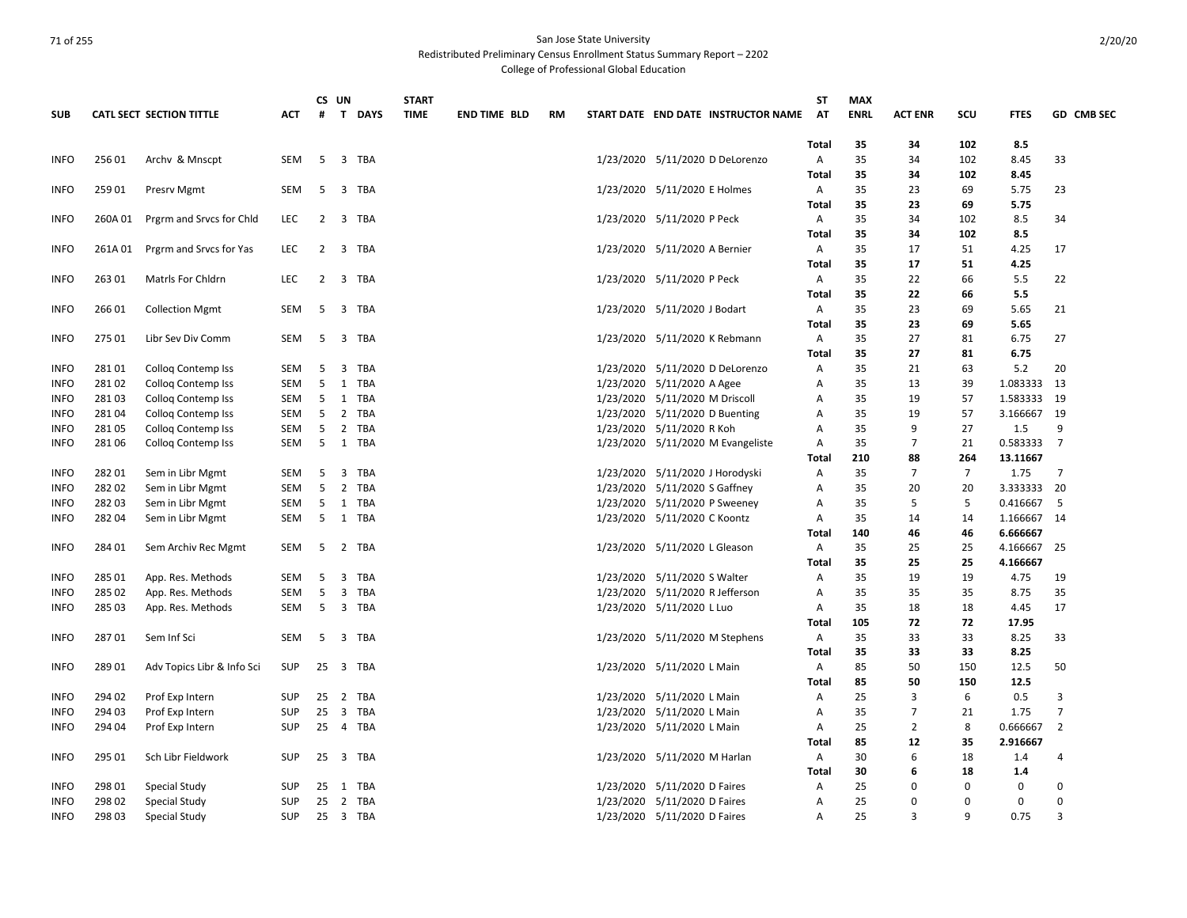Redistributed Preliminary Census Enrollment Status Summary Report – 2202

College of Professional Global Education

|             |         |                                 |            |                | CS UN |          | <b>START</b> |                     |    |                                                               | <b>ST</b>    | <b>MAX</b>  |                |                |             |                |
|-------------|---------|---------------------------------|------------|----------------|-------|----------|--------------|---------------------|----|---------------------------------------------------------------|--------------|-------------|----------------|----------------|-------------|----------------|
| <b>SUB</b>  |         | <b>CATL SECT SECTION TITTLE</b> | ACT        | #              |       | T DAYS   | <b>TIME</b>  | <b>END TIME BLD</b> | RM | START DATE END DATE INSTRUCTOR NAME                           | AT           | <b>ENRL</b> | <b>ACT ENR</b> | scu            | <b>FTES</b> | GD CMB SEC     |
|             |         |                                 |            |                |       |          |              |                     |    |                                                               | Total        | 35          | 34             | 102            | 8.5         |                |
| <b>INFO</b> | 25601   | Archy & Mnscpt                  | SEM        | 5              |       | 3 TBA    |              |                     |    | 1/23/2020 5/11/2020 D DeLorenzo                               | Α            | 35          | 34             | 102            | 8.45        | 33             |
|             |         |                                 |            |                |       |          |              |                     |    |                                                               | Total        | 35          | 34             | 102            | 8.45        |                |
| <b>INFO</b> | 25901   | Presrv Mgmt                     | SEM        | -5             |       | 3 TBA    |              |                     |    | 1/23/2020 5/11/2020 E Holmes                                  | Α            | 35          | 23             | 69             | 5.75        | 23             |
|             |         |                                 |            |                |       |          |              |                     |    |                                                               | Total        | 35          | 23             | 69             | 5.75        |                |
| <b>INFO</b> | 260A 01 | Prgrm and Srvcs for Chld        | <b>LEC</b> |                |       | 2 3 TBA  |              |                     |    | 1/23/2020 5/11/2020 P Peck                                    | Α            | 35          | 34             | 102            | 8.5         | 34             |
|             |         |                                 |            |                |       |          |              |                     |    |                                                               | Total        | 35          | 34             | 102            | 8.5         |                |
| <b>INFO</b> | 261A01  | Prgrm and Srvcs for Yas         | <b>LEC</b> | $\overline{2}$ |       | 3 TBA    |              |                     |    | 1/23/2020 5/11/2020 A Bernier                                 | Α            | 35          | 17             | 51             | 4.25        | 17             |
|             |         |                                 |            |                |       |          |              |                     |    |                                                               | <b>Total</b> | 35          | 17             | 51             | 4.25        |                |
| <b>INFO</b> | 263 01  | <b>Matrls For Chidrn</b>        | <b>LEC</b> |                |       | 2 3 TBA  |              |                     |    | 1/23/2020 5/11/2020 P Peck                                    | Α            | 35          | 22             | 66             | 5.5         | 22             |
|             |         |                                 |            |                |       |          |              |                     |    |                                                               | <b>Total</b> | 35          | 22             | 66             | 5.5         |                |
| <b>INFO</b> | 26601   | <b>Collection Mgmt</b>          | SEM        | - 5            |       | 3 TBA    |              |                     |    | 1/23/2020 5/11/2020 J Bodart                                  | Α            | 35          | 23             | 69             | 5.65        | 21             |
|             |         |                                 |            |                |       |          |              |                     |    |                                                               | Total        | 35          | 23             | 69             | 5.65        |                |
| <b>INFO</b> | 275 01  | Libr Sev Div Comm               | SEM        |                |       | 5 3 TBA  |              |                     |    | 1/23/2020 5/11/2020 K Rebmann                                 | Α            | 35          | 27             | 81             | 6.75        | 27             |
|             |         |                                 |            |                |       |          |              |                     |    |                                                               | Total        | 35          | 27             | 81             | 6.75        |                |
| <b>INFO</b> | 28101   | <b>Collog Contemp Iss</b>       | SEM        | 5              |       | 3 TBA    |              |                     |    | 1/23/2020 5/11/2020 D DeLorenzo                               | Α            | 35          | 21             | 63             | 5.2         | 20             |
| <b>INFO</b> | 28102   | <b>Collog Contemp Iss</b>       | SEM        | 5              |       | 1 TBA    |              |                     |    | 1/23/2020 5/11/2020 A Agee                                    | Α            | 35          | 13             | 39             | 1.083333    | 13             |
| <b>INFO</b> | 28103   | Colloq Contemp Iss              | SEM        | 5              |       | 1 TBA    |              |                     |    | 1/23/2020 5/11/2020 M Driscoll                                | Α            | 35          | 19             | 57             | 1.583333 19 |                |
| <b>INFO</b> | 28104   | Colloq Contemp Iss              | SEM        | 5              |       | 2 TBA    |              |                     |    | 1/23/2020 5/11/2020 D Buenting                                | Α            | 35          | 19             | 57             | 3.166667 19 |                |
| <b>INFO</b> | 28105   | <b>Collog Contemp Iss</b>       | SEM        | 5              |       | 2 TBA    |              |                     |    | 1/23/2020 5/11/2020 R Koh                                     | Α            | 35          | 9              | 27             | 1.5         | 9              |
| <b>INFO</b> | 28106   | Collog Contemp Iss              | SEM        | 5              |       | 1 TBA    |              |                     |    | 1/23/2020 5/11/2020 M Evangeliste                             | Α            | 35          | 7              | 21             | 0.583333    | $\overline{7}$ |
|             |         |                                 |            |                |       |          |              |                     |    |                                                               | Total        | 210         | 88             | 264            | 13.11667    |                |
| <b>INFO</b> | 28201   | Sem in Libr Mgmt                | SEM        | - 5            |       | 3 TBA    |              |                     |    | 1/23/2020 5/11/2020 J Horodyski                               | Α            | 35          | $\overline{7}$ | $\overline{7}$ | 1.75        | $\overline{7}$ |
| <b>INFO</b> | 28202   | Sem in Libr Mgmt                | <b>SEM</b> | 5              |       | 2 TBA    |              |                     |    | 1/23/2020 5/11/2020 S Gaffney                                 | Α            | 35          | 20             | 20             | 3.333333    | 20             |
| <b>INFO</b> | 28203   |                                 |            | -5             |       | 1 TBA    |              |                     |    |                                                               |              | 35          | 5              | 5              | 0.416667    | - 5            |
|             | 28204   | Sem in Libr Mgmt                | SEM        | 5              |       |          |              |                     |    | 1/23/2020 5/11/2020 P Sweeney<br>1/23/2020 5/11/2020 C Koontz | Α            | 35          |                | 14             | 1.166667 14 |                |
| <b>INFO</b> |         | Sem in Libr Mgmt                | SEM        |                |       | 1 TBA    |              |                     |    |                                                               | Α            |             | 14             |                |             |                |
|             |         |                                 |            |                |       |          |              |                     |    |                                                               | <b>Total</b> | 140         | 46             | 46             | 6.666667    |                |
| <b>INFO</b> | 284 01  | Sem Archiv Rec Mgmt             | SEM        | - 5            |       | 2 TBA    |              |                     |    | 1/23/2020 5/11/2020 L Gleason                                 | Α            | 35          | 25             | 25             | 4.166667    | 25             |
|             |         |                                 |            |                |       |          |              |                     |    |                                                               | Total        | 35          | 25             | 25             | 4.166667    |                |
| <b>INFO</b> | 285 01  | App. Res. Methods               | SEM        | 5              | 3     | TBA      |              |                     |    | 1/23/2020 5/11/2020 S Walter                                  | Α            | 35          | 19             | 19             | 4.75        | 19             |
| <b>INFO</b> | 285 02  | App. Res. Methods               | SEM        | 5              | 3     | TBA      |              |                     |    | 1/23/2020 5/11/2020 R Jefferson                               | Α            | 35          | 35             | 35             | 8.75        | 35             |
| <b>INFO</b> | 285 03  | App. Res. Methods               | SEM        | -5             |       | 3 TBA    |              |                     |    | 1/23/2020 5/11/2020 L Luo                                     | A            | 35          | 18             | 18             | 4.45        | 17             |
|             |         |                                 |            |                |       |          |              |                     |    |                                                               | Total        | 105         | 72             | 72             | 17.95       |                |
| <b>INFO</b> | 28701   | Sem Inf Sci                     | SEM        | 5              | 3     | TBA      |              |                     |    | 1/23/2020 5/11/2020 M Stephens                                | Α            | 35          | 33             | 33             | 8.25        | 33             |
|             |         |                                 |            |                |       |          |              |                     |    |                                                               | Total        | 35          | 33             | 33             | 8.25        |                |
| <b>INFO</b> | 28901   | Adv Topics Libr & Info Sci      | <b>SUP</b> |                |       | 25 3 TBA |              |                     |    | 1/23/2020 5/11/2020 L Main                                    | Α            | 85          | 50             | 150            | 12.5        | 50             |
|             |         |                                 |            |                |       |          |              |                     |    |                                                               | <b>Total</b> | 85          | 50             | 150            | 12.5        |                |
| <b>INFO</b> | 294 02  | Prof Exp Intern                 | <b>SUP</b> |                |       | 25 2 TBA |              |                     |    | 1/23/2020 5/11/2020 L Main                                    | Α            | 25          | 3              | 6              | 0.5         | 3              |
| <b>INFO</b> | 294 03  | Prof Exp Intern                 | <b>SUP</b> | 25             |       | 3 TBA    |              |                     |    | 1/23/2020 5/11/2020 L Main                                    | Α            | 35          | $\overline{7}$ | 21             | 1.75        | $\overline{7}$ |
| <b>INFO</b> | 294 04  | Prof Exp Intern                 | <b>SUP</b> |                |       | 25 4 TBA |              |                     |    | 1/23/2020 5/11/2020 L Main                                    | Α            | 25          | $\overline{2}$ | 8              | 0.666667    | $\overline{2}$ |
|             |         |                                 |            |                |       |          |              |                     |    |                                                               | Total        | 85          | 12             | 35             | 2.916667    |                |
| <b>INFO</b> | 295 01  | Sch Libr Fieldwork              | SUP        | 25             |       | 3 TBA    |              |                     |    | 1/23/2020 5/11/2020 M Harlan                                  | Α            | 30          | 6              | 18             | 1.4         | 4              |
|             |         |                                 |            |                |       |          |              |                     |    |                                                               | Total        | 30          | 6              | 18             | 1.4         |                |
| <b>INFO</b> | 298 01  | Special Study                   | SUP        | 25             |       | 1 TBA    |              |                     |    | 1/23/2020 5/11/2020 D Faires                                  | Α            | 25          | 0              | 0              | $\mathbf 0$ | 0              |
| <b>INFO</b> | 298 02  | Special Study                   | <b>SUP</b> | 25             |       | 2 TBA    |              |                     |    | 1/23/2020 5/11/2020 D Faires                                  | Α            | 25          | 0              | 0              | $\mathbf 0$ | $\Omega$       |
| <b>INFO</b> | 298 03  | Special Study                   | <b>SUP</b> |                |       | 25 3 TBA |              |                     |    | 1/23/2020 5/11/2020 D Faires                                  | A            | 25          | $\overline{3}$ | q              | 0.75        | з              |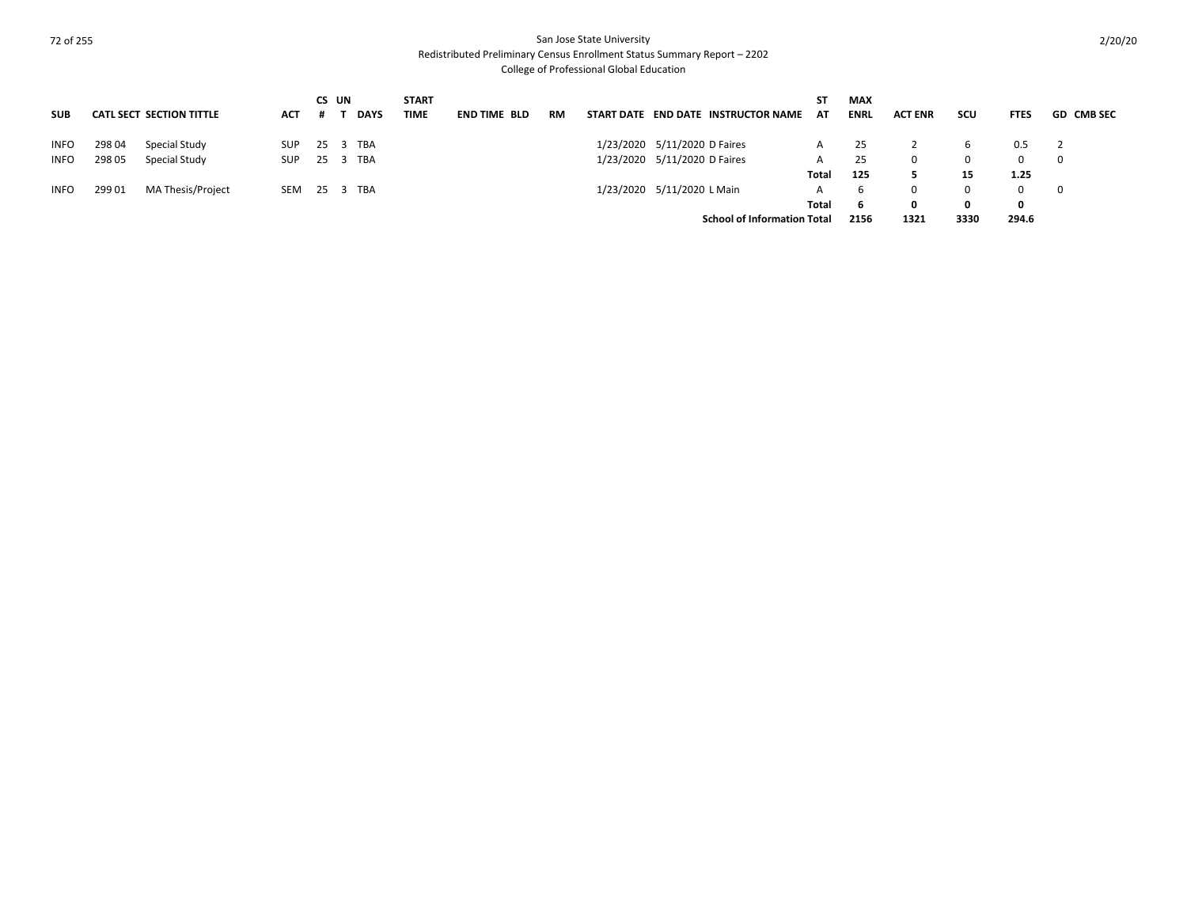Redistributed Preliminary Census Enrollment Status Summary Report – 2202

College of Professional Global Education

| <b>SUB</b>  |                                    | <b>CATL SECT SECTION TITTLE</b> | <b>ACT</b> | CS UN<br># | <b>DAYS</b> | <b>START</b><br><b>TIME</b> | <b>END TIME BLD</b> | RM | START DATE END DATE INSTRUCTOR NAME | ST<br>AT | <b>MAX</b><br><b>ENRL</b> | <b>ACT ENR</b> | SCU      | <b>FTES</b> | <b>GD CMB SEC</b> |
|-------------|------------------------------------|---------------------------------|------------|------------|-------------|-----------------------------|---------------------|----|-------------------------------------|----------|---------------------------|----------------|----------|-------------|-------------------|
| <b>INFO</b> | 298 04                             | Special Study                   | <b>SUP</b> |            | 25 3 TBA    |                             |                     |    | 1/23/2020 5/11/2020 D Faires        |          | 25                        |                | b        | 0.5         |                   |
| <b>INFO</b> | 298 05                             | Special Study                   | <b>SUP</b> |            | 25 3 TBA    |                             |                     |    | 1/23/2020 5/11/2020 D Faires        | A        | 25                        | 0              | $\Omega$ |             |                   |
|             |                                    |                                 |            |            |             |                             |                     |    |                                     | Total    | 125                       |                | 15       | 1.25        |                   |
| <b>INFO</b> | 299 01                             | MA Thesis/Project               | <b>SEM</b> |            | 25 3 TBA    |                             |                     |    | 1/23/2020 5/11/2020 L Main          | A        | b                         | $\Omega$       | $\Omega$ |             | - 0               |
|             |                                    |                                 |            |            |             |                             |                     |    |                                     | Total    | 6                         | 0              | 0        | 0           |                   |
|             | <b>School of Information Total</b> |                                 |            |            |             |                             |                     |    | 2156                                | 1321     | 3330                      | 294.6          |          |             |                   |